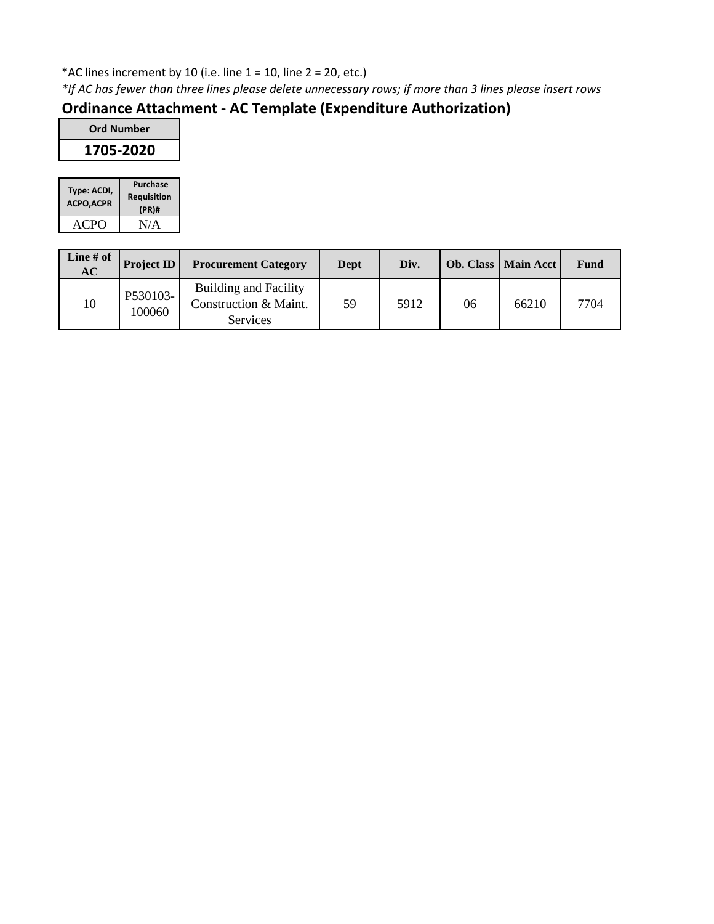### \*AC lines increment by 10 (i.e. line  $1 = 10$ , line  $2 = 20$ , etc.)

*\*If AC has fewer than three lines please delete unnecessary rows; if more than 3 lines please insert rows*

# **Ordinance Attachment - AC Template (Expenditure Authorization)**

| <b>Ord Number</b> |
|-------------------|
| 1705-2020         |
|                   |

| Type: ACDI,<br><b>ACPO, ACPR</b> | Purchase<br><b>Requisition</b><br>$(PR)$ # |
|----------------------------------|--------------------------------------------|
| ACPO                             | N/A                                        |

| Line $#$ of<br>AC | Project ID         | <b>Procurement Category</b>                                       | Dept | Div. |    | <b>Ob. Class   Main Acct  </b> | Fund |
|-------------------|--------------------|-------------------------------------------------------------------|------|------|----|--------------------------------|------|
| 10                | P530103-<br>100060 | Building and Facility<br>Construction & Maint.<br><b>Services</b> | 59   | 5912 | 06 | 66210                          | 7704 |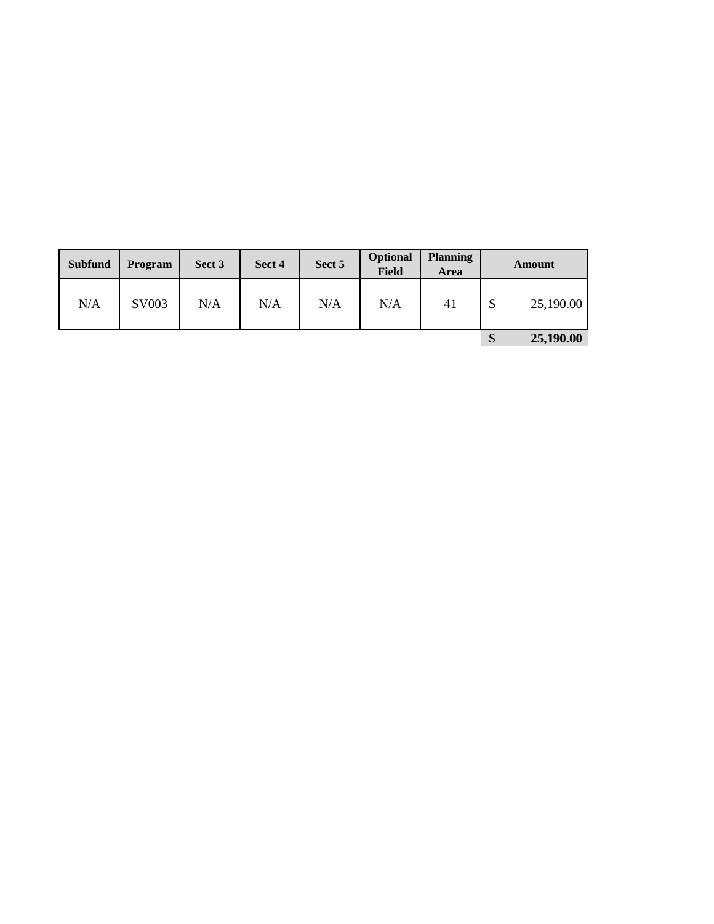| <b>Subfund</b> | <b>Program</b> | Sect 3 | Sect 4 | Sect 5 | Optional<br><b>Field</b> | <b>Planning</b><br><b>Area</b> | Amount         |
|----------------|----------------|--------|--------|--------|--------------------------|--------------------------------|----------------|
| N/A            | SV003          | N/A    | N/A    | N/A    | N/A                      | 41                             | 25,190.00<br>D |
|                |                |        |        |        |                          |                                | 25,190.00<br>Φ |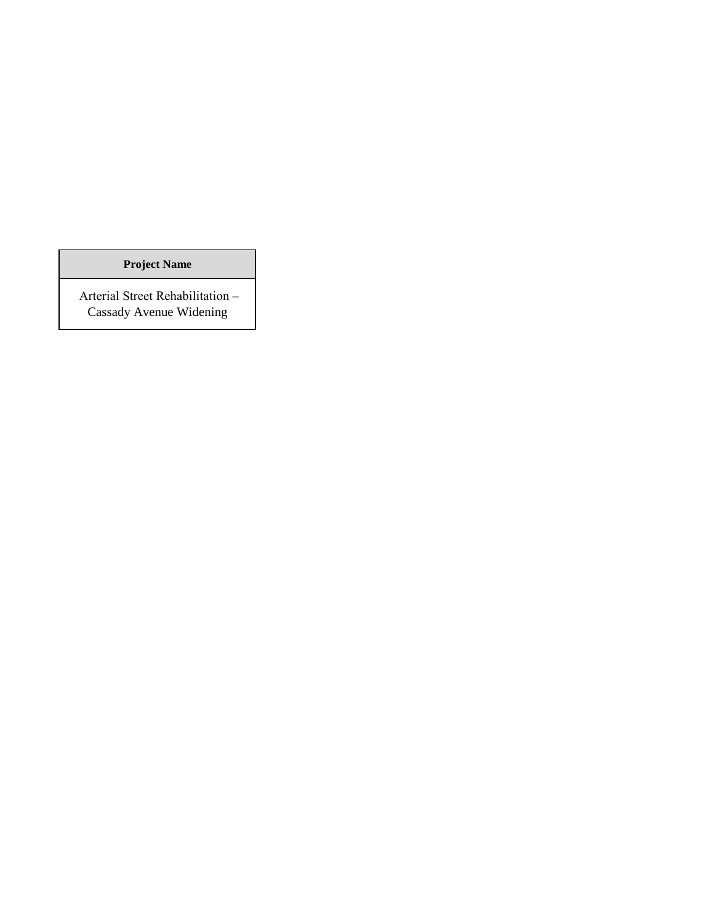**Project Name**

 Arterial Street Rehabilitation – Cassady Avenue Widening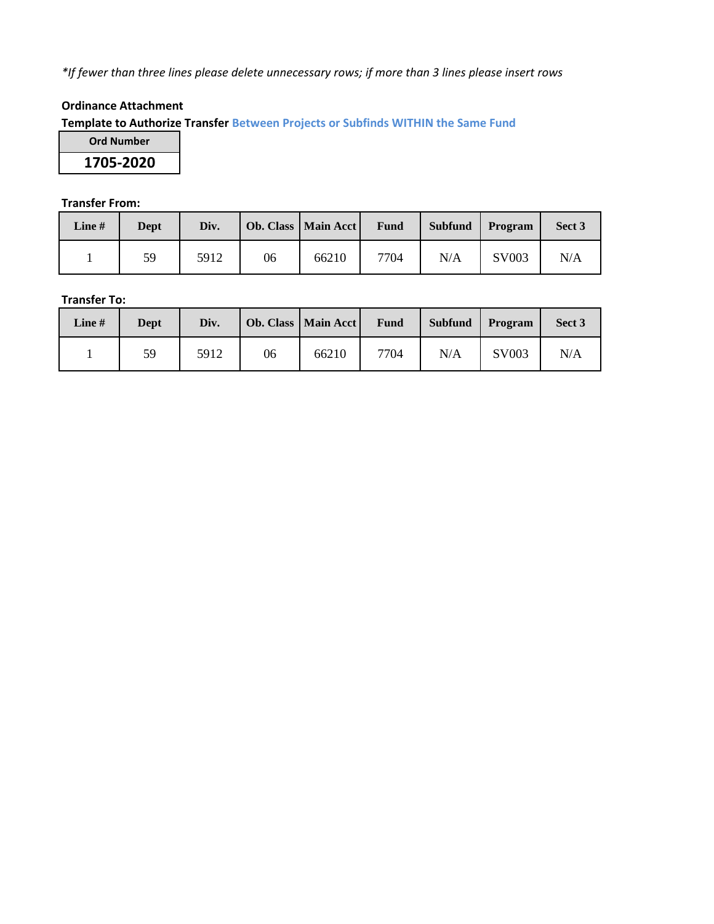*\*If fewer than three lines please delete unnecessary rows; if more than 3 lines please insert rows*

#### **Ordinance Attachment**

**Template to Authorize Transfer Between Projects or Subfinds WITHIN the Same Fund**

**Ord Number 1705-2020**

#### **Transfer From:**

| Line $#$ | Dept | Div. |    | <b>Ob. Class   Main Acct</b> | <b>Fund</b> | <b>Subfund</b> | Program | Sect 3 |
|----------|------|------|----|------------------------------|-------------|----------------|---------|--------|
|          | 59   | 5912 | 06 | 66210                        | 7704        | N/A            | SV003   | N/A    |

#### **Transfer To:**

| Line $#$ | Dept | Div. |    | Ob. Class   Main Acct | <b>Fund</b> | <b>Subfund</b> | Program | Sect 3 |
|----------|------|------|----|-----------------------|-------------|----------------|---------|--------|
|          | 59   | 5912 | 06 | 66210                 | 7704        | N/A            | SV003   | N/A    |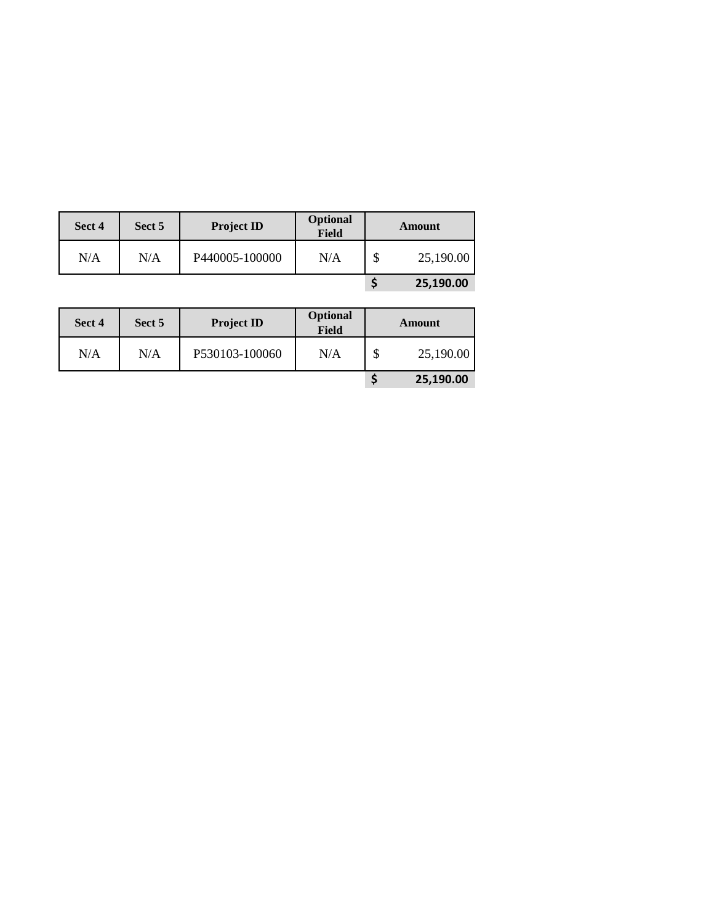| Sect 4 | Sect 5 | <b>Project ID</b> | <b>Optional</b><br>Field |        | Amount    |
|--------|--------|-------------------|--------------------------|--------|-----------|
| N/A    | N/A    | P440005-100000    | N/A                      | ¢<br>D | 25,190.00 |
|        |        |                   |                          |        | 25,190.00 |

| Sect 4 | Sect 5 | <b>Project ID</b> | Optional<br>Field | Amount    |
|--------|--------|-------------------|-------------------|-----------|
| N/A    | N/A    | P530103-100060    | N/A               | 25,190.00 |
|        |        |                   |                   | 25,190.00 |